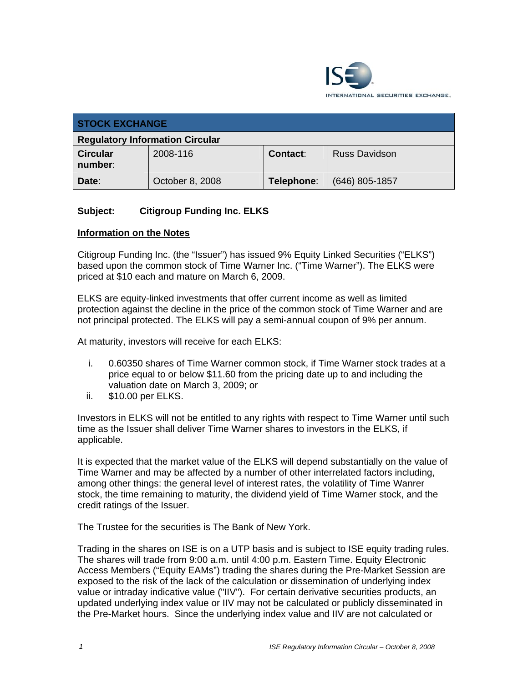

| <b>STOCK EXCHANGE</b>                  |                 |                 |                      |
|----------------------------------------|-----------------|-----------------|----------------------|
| <b>Regulatory Information Circular</b> |                 |                 |                      |
| <b>Circular</b><br>number:             | 2008-116        | <b>Contact:</b> | <b>Russ Davidson</b> |
| Date:                                  | October 8, 2008 | Telephone:      | $(646)$ 805-1857     |

#### **Subject: Citigroup Funding Inc. ELKS**

#### **Information on the Notes**

Citigroup Funding Inc. (the "Issuer") has issued 9% Equity Linked Securities ("ELKS") based upon the common stock of Time Warner Inc. ("Time Warner"). The ELKS were priced at \$10 each and mature on March 6, 2009.

ELKS are equity-linked investments that offer current income as well as limited protection against the decline in the price of the common stock of Time Warner and are not principal protected. The ELKS will pay a semi-annual coupon of 9% per annum.

At maturity, investors will receive for each ELKS:

- i. 0.60350 shares of Time Warner common stock, if Time Warner stock trades at a price equal to or below \$11.60 from the pricing date up to and including the valuation date on March 3, 2009; or
- ii. \$10.00 per ELKS.

Investors in ELKS will not be entitled to any rights with respect to Time Warner until such time as the Issuer shall deliver Time Warner shares to investors in the ELKS, if applicable.

It is expected that the market value of the ELKS will depend substantially on the value of Time Warner and may be affected by a number of other interrelated factors including, among other things: the general level of interest rates, the volatility of Time Wanrer stock, the time remaining to maturity, the dividend yield of Time Warner stock, and the credit ratings of the Issuer.

The Trustee for the securities is The Bank of New York.

Trading in the shares on ISE is on a UTP basis and is subject to ISE equity trading rules. The shares will trade from 9:00 a.m. until 4:00 p.m. Eastern Time. Equity Electronic Access Members ("Equity EAMs") trading the shares during the Pre-Market Session are exposed to the risk of the lack of the calculation or dissemination of underlying index value or intraday indicative value ("IIV"). For certain derivative securities products, an updated underlying index value or IIV may not be calculated or publicly disseminated in the Pre-Market hours. Since the underlying index value and IIV are not calculated or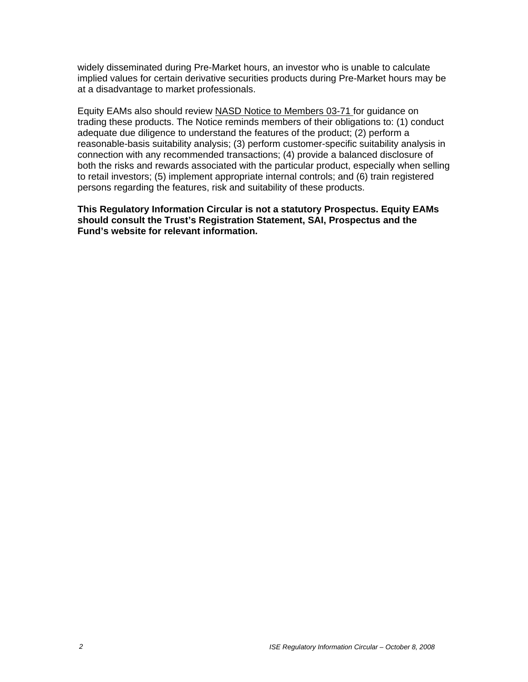widely disseminated during Pre-Market hours, an investor who is unable to calculate implied values for certain derivative securities products during Pre-Market hours may be at a disadvantage to market professionals.

Equity EAMs also should review NASD Notice to Members 03-71 for guidance on trading these products. The Notice reminds members of their obligations to: (1) conduct adequate due diligence to understand the features of the product; (2) perform a reasonable-basis suitability analysis; (3) perform customer-specific suitability analysis in connection with any recommended transactions; (4) provide a balanced disclosure of both the risks and rewards associated with the particular product, especially when selling to retail investors; (5) implement appropriate internal controls; and (6) train registered persons regarding the features, risk and suitability of these products.

**This Regulatory Information Circular is not a statutory Prospectus. Equity EAMs should consult the Trust's Registration Statement, SAI, Prospectus and the Fund's website for relevant information.**